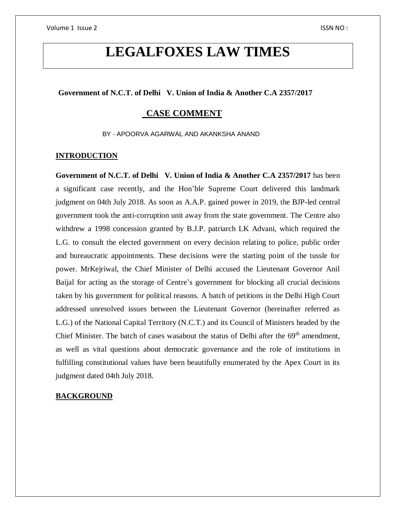# **LEGALFOXES LAW TIMES**

### **Government of N.C.T. of Delhi V. Union of India & Another C.A 2357/2017**

# **CASE COMMENT**

BY - APOORVA AGARWAL AND AKANKSHA ANAND

#### **INTRODUCTION**

**Government of N.C.T. of Delhi V. Union of India & Another C.A 2357/2017** has been a significant case recently, and the Hon'ble Supreme Court delivered this landmark judgment on 04th July 2018. As soon as A.A.P. gained power in 2019, the BJP-led central government took the anti-corruption unit away from the state government. The Centre also withdrew a 1998 concession granted by B.J.P. patriarch LK Advani, which required the L.G. to consult the elected government on every decision relating to police, public order and bureaucratic appointments. These decisions were the starting point of the tussle for power. MrKejriwal, the Chief Minister of Delhi accused the Lieutenant Governor Anil Baijal for acting as the storage of Centre's government for blocking all crucial decisions taken by his government for political reasons. A batch of petitions in the Delhi High Court addressed unresolved issues between the Lieutenant Governor (hereinafter referred as L.G.) of the National Capital Territory (N.C.T.) and its Council of Ministers headed by the Chief Minister. The batch of cases wasabout the status of Delhi after the  $69<sup>th</sup>$  amendment, as well as vital questions about democratic governance and the role of institutions in fulfilling constitutional values have been beautifully enumerated by the Apex Court in its judgment dated 04th July 2018.

### **BACKGROUND**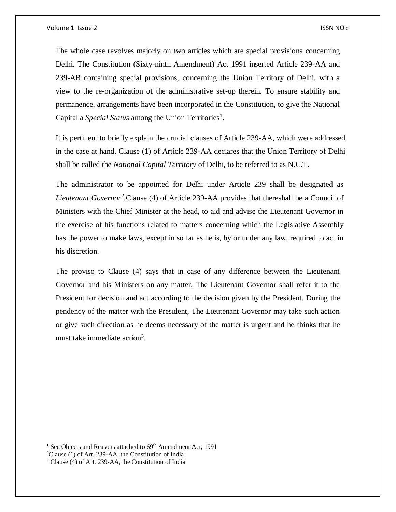The whole case revolves majorly on two articles which are special provisions concerning Delhi. The Constitution (Sixty-ninth Amendment) Act 1991 inserted Article 239-AA and 239-AB containing special provisions, concerning the Union Territory of Delhi, with a view to the re-organization of the administrative set-up therein. To ensure stability and permanence, arrangements have been incorporated in the Constitution, to give the National Capital a Special Status among the Union Territories<sup>1</sup>.

It is pertinent to briefly explain the crucial clauses of Article 239-AA, which were addressed in the case at hand. Clause (1) of Article 239-AA declares that the Union Territory of Delhi shall be called the *National Capital Territory* of Delhi, to be referred to as N.C.T.

The administrator to be appointed for Delhi under Article 239 shall be designated as Lieutenant Governor<sup>2</sup>.Clause (4) of Article 239-AA provides that thereshall be a Council of Ministers with the Chief Minister at the head, to aid and advise the Lieutenant Governor in the exercise of his functions related to matters concerning which the Legislative Assembly has the power to make laws, except in so far as he is, by or under any law, required to act in his discretion.

The proviso to Clause (4) says that in case of any difference between the Lieutenant Governor and his Ministers on any matter, The Lieutenant Governor shall refer it to the President for decision and act according to the decision given by the President. During the pendency of the matter with the President, The Lieutenant Governor may take such action or give such direction as he deems necessary of the matter is urgent and he thinks that he must take immediate action<sup>3</sup>.

 $\overline{a}$ 

<sup>&</sup>lt;sup>1</sup> See Objects and Reasons attached to  $69<sup>th</sup>$  Amendment Act, 1991

<sup>2</sup>Clause (1) of Art. 239-AA, the Constitution of India

<sup>3</sup> Clause (4) of Art. 239-AA, the Constitution of India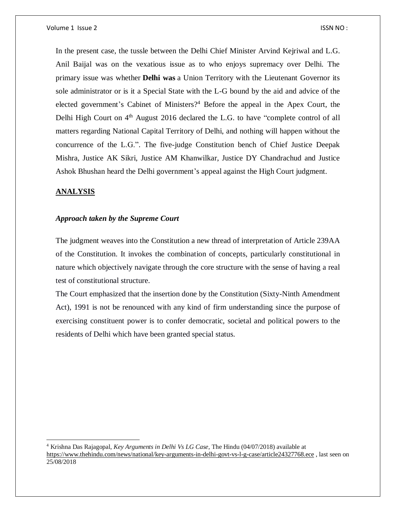In the present case, the tussle between the Delhi Chief Minister Arvind Kejriwal and L.G. Anil Baijal was on the vexatious issue as to who enjoys supremacy over Delhi. The primary issue was whether **[Delhi](https://www.thehindu.com/tag/117-81/delhi/?utm=bodytag) was** a Union Territory with the Lieutenant Governor its sole administrator or is it a Special State with the L-G bound by the aid and advice of the elected government's Cabinet of Ministers?<sup>4</sup> Before the appeal in the Apex Court, the Delhi High Court on 4<sup>th</sup> August 2016 declared the L.G. to have "complete control of all matters regarding National Capital Territory of Delhi, and nothing will happen without the concurrence of the L.G.". The five-judge Constitution bench of Chief Justice Deepak Mishra, Justice AK Sikri, Justice AM Khanwilkar, Justice DY Chandrachud and Justice Ashok Bhushan heard the Delhi government's appeal against the High Court judgment.

# **ANALYSIS**

 $\overline{a}$ 

### *Approach taken by the Supreme Court*

The judgment weaves into the Constitution a new thread of interpretation of Article 239AA of the Constitution. It invokes the combination of concepts, particularly constitutional in nature which objectively navigate through the core structure with the sense of having a real test of constitutional structure.

The Court emphasized that the insertion done by the Constitution (Sixty-Ninth Amendment Act), 1991 is not be renounced with any kind of firm understanding since the purpose of exercising constituent power is to confer democratic, societal and political powers to the residents of Delhi which have been granted special status.

<sup>4</sup> Krishna Das Rajagopal, *Key Arguments in Delhi Vs LG Case,* The Hindu (04/07/2018) available at <https://www.thehindu.com/news/national/key-arguments-in-delhi-govt-vs-l-g-case/article24327768.ece> , last seen on 25/08/2018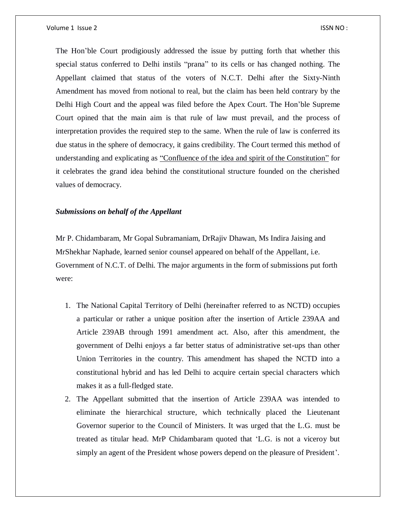Volume 1 Issue 2 ISSN NO : ISSN NO : ISSN NO : ISSN NO : ISSN NO : ISSN NO : ISSN NO :

The Hon'ble Court prodigiously addressed the issue by putting forth that whether this special status conferred to Delhi instils "prana" to its cells or has changed nothing. The Appellant claimed that status of the voters of N.C.T. Delhi after the Sixty-Ninth Amendment has moved from notional to real, but the claim has been held contrary by the Delhi High Court and the appeal was filed before the Apex Court. The Hon'ble Supreme Court opined that the main aim is that rule of law must prevail, and the process of interpretation provides the required step to the same. When the rule of law is conferred its due status in the sphere of democracy, it gains credibility. The Court termed this method of understanding and explicating as "Confluence of the idea and spirit of the Constitution" for it celebrates the grand idea behind the constitutional structure founded on the cherished values of democracy.

#### *Submissions on behalf of the Appellant*

Mr P. Chidambaram, Mr Gopal Subramaniam, DrRajiv Dhawan, Ms Indira Jaising and MrShekhar Naphade, learned senior counsel appeared on behalf of the Appellant, i.e. Government of N.C.T. of Delhi. The major arguments in the form of submissions put forth were:

- 1. The National Capital Territory of Delhi (hereinafter referred to as NCTD) occupies a particular or rather a unique position after the insertion of Article 239AA and Article 239AB through 1991 amendment act. Also, after this amendment, the government of Delhi enjoys a far better status of administrative set-ups than other Union Territories in the country. This amendment has shaped the NCTD into a constitutional hybrid and has led Delhi to acquire certain special characters which makes it as a full-fledged state.
- 2. The Appellant submitted that the insertion of Article 239AA was intended to eliminate the hierarchical structure, which technically placed the Lieutenant Governor superior to the Council of Ministers. It was urged that the L.G. must be treated as titular head. MrP Chidambaram quoted that 'L.G. is not a viceroy but simply an agent of the President whose powers depend on the pleasure of President'.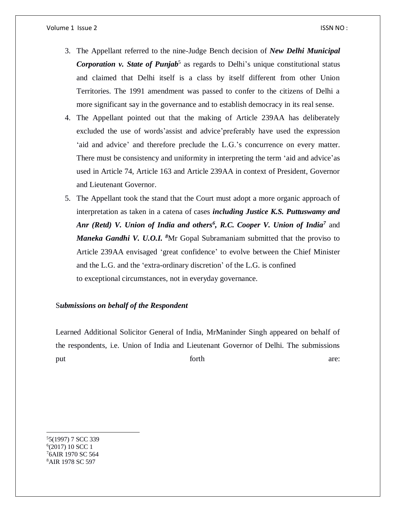- 3. The Appellant referred to the nine-Judge Bench decision of *New Delhi Municipal*  Corporation v. State of Punjab<sup>5</sup> as regards to Delhi's unique constitutional status and claimed that Delhi itself is a class by itself different from other Union Territories. The 1991 amendment was passed to confer to the citizens of Delhi a more significant say in the governance and to establish democracy in its real sense.
- 4. The Appellant pointed out that the making of Article 239AA has deliberately excluded the use of words'assist and advice'preferably have used the expression 'aid and advice' and therefore preclude the L.G.'s concurrence on every matter. There must be consistency and uniformity in interpreting the term 'aid and advice'as used in Article 74, Article 163 and Article 239AA in context of President, Governor and Lieutenant Governor.
- 5. The Appellant took the stand that the Court must adopt a more organic approach of interpretation as taken in a catena of cases *including Justice K.S. Puttuswamy and*  Anr (Retd) V. Union of India and others<sup>6</sup>, R.C. Cooper V. Union of India<sup>7</sup> and *Maneka Gandhi V. U.O.I. <sup>8</sup>*Mr Gopal Subramaniam submitted that the proviso to Article 239AA envisaged 'great confidence' to evolve between the Chief Minister and the L.G. and the 'extra-ordinary discretion' of the L.G. is confined to exceptional circumstances, not in everyday governance.

# S*ubmissions on behalf of the Respondent*

Learned Additional Solicitor General of India, MrManinder Singh appeared on behalf of the respondents, i.e. Union of India and Lieutenant Governor of Delhi. The submissions put are: the forth are:

 $\overline{a}$ 5(1997) 7 SCC 339 (2017) 10 SCC 1 6AIR 1970 SC 564 AIR 1978 SC 597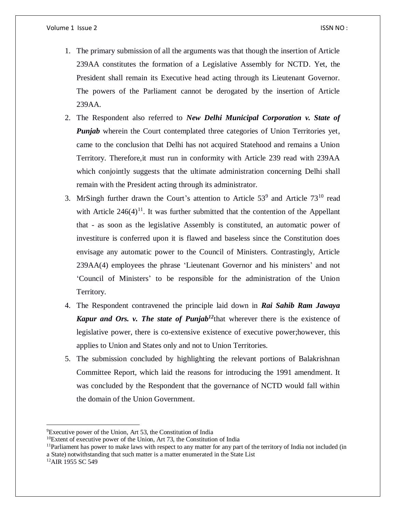- 1. The primary submission of all the arguments was that though the insertion of Article 239AA constitutes the formation of a Legislative Assembly for NCTD. Yet, the President shall remain its Executive head acting through its Lieutenant Governor. The powers of the Parliament cannot be derogated by the insertion of Article 239AA.
- 2. The Respondent also referred to *New Delhi Municipal Corporation v. State of Punjab* wherein the Court contemplated three categories of Union Territories yet, came to the conclusion that Delhi has not acquired Statehood and remains a Union Territory. Therefore,it must run in conformity with Article 239 read with 239AA which conjointly suggests that the ultimate administration concerning Delhi shall remain with the President acting through its administrator.
- 3. MrSingh further drawn the Court's attention to Article  $53<sup>9</sup>$  and Article  $73<sup>10</sup>$  read with Article  $246(4)^{11}$ . It was further submitted that the contention of the Appellant that - as soon as the legislative Assembly is constituted, an automatic power of investiture is conferred upon it is flawed and baseless since the Constitution does envisage any automatic power to the Council of Ministers. Contrastingly, Article 239AA(4) employees the phrase 'Lieutenant Governor and his ministers' and not 'Council of Ministers' to be responsible for the administration of the Union Territory.
- 4. The Respondent contravened the principle laid down in *Rai Sahib Ram Jawaya Kapur and Ors. v. The state of Punjab<sup>12</sup>*that wherever there is the existence of legislative power, there is co-extensive existence of executive power;however, this applies to Union and States only and not to Union Territories.
- 5. The submission concluded by highlighting the relevant portions of Balakrishnan Committee Report, which laid the reasons for introducing the 1991 amendment. It was concluded by the Respondent that the governance of NCTD would fall within the domain of the Union Government.

 $\overline{\phantom{a}}$ 

<sup>9</sup>Executive power of the Union, Art 53, the Constitution of India

 $10E$ Extent of executive power of the Union, Art 73, the Constitution of India

 $11$ Parliament has power to make laws with respect to any matter for any part of the territory of India not included (in a State) notwithstanding that such matter is a matter enumerated in the State List

<sup>&</sup>lt;sup>12</sup>AIR 1955 SC 549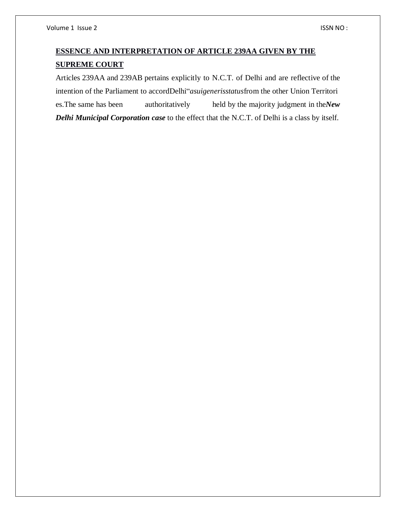# **ESSENCE AND INTERPRETATION OF ARTICLE 239AA GIVEN BY THE SUPREME COURT**

Articles 239AA and 239AB pertains explicitly to N.C.T. of Delhi and are reflective of the intention of the Parliament to accordDelhi"*asuigenerisstatus*from the other Union Territori es.The same has been authoritatively held by the majority judgment in the*New Delhi Municipal Corporation case* to the effect that the N.C.T. of Delhi is a class by itself.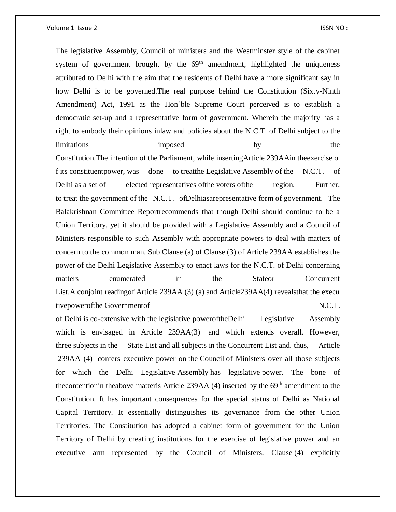The legislative Assembly, Council of ministers and the Westminster style of the cabinet system of government brought by the  $69<sup>th</sup>$  amendment, highlighted the uniqueness attributed to Delhi with the aim that the residents of Delhi have a more significant say in how Delhi is to be governed.The real purpose behind the Constitution (Sixty-Ninth Amendment) Act, 1991 as the Hon'ble Supreme Court perceived is to establish a democratic set-up and a representative form of government. Wherein the majority has a right to embody their opinions inlaw and policies about the N.C.T. of Delhi subject to the limitations imposed by the Constitution.The intention of the Parliament, while insertingArticle 239AAin theexercise o f its constituentpower, was done to treatthe Legislative Assembly of the N.C.T. of

Delhi as a set of elected representatives of the voters of the region. Further, to treat the government of the N.C.T. ofDelhiasarepresentative form of government. The Balakrishnan Committee Reportrecommends that though Delhi should continue to be a Union Territory, yet it should be provided with a Legislative Assembly and a Council of Ministers responsible to such Assembly with appropriate powers to deal with matters of concern to the common man. Sub Clause (a) of Clause (3) of Article 239AA establishes the power of the Delhi Legislative Assembly to enact laws for the N.C.T. of Delhi concerning matters enumerated in the Stateor Concurrent List.A conjoint readingof Article 239AA (3) (a) and Article239AA(4) revealsthat the execu tivepowerofthe Governmentof N.C.T.

of Delhi is co-extensive with the legislative poweroftheDelhi Legislative Assembly which is envisaged in Article 239AA(3) and which extends overall. However, three subjects in the State List and all subjects in the Concurrent List and, thus, Article 239AA (4) confers executive power on the Council of Ministers over all those subjects for which the Delhi Legislative Assembly has legislative power. The bone of the contention in the above matter is Article 239AA  $(4)$  inserted by the  $69<sup>th</sup>$  amendment to the Constitution. It has important consequences for the special status of Delhi as National Capital Territory. It essentially distinguishes its governance from the other Union Territories. The Constitution has adopted a cabinet form of government for the Union Territory of Delhi by creating institutions for the exercise of legislative power and an executive arm represented by the Council of Ministers. Clause (4) explicitly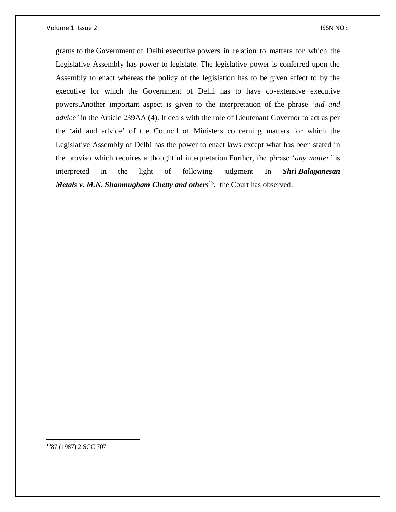grants to the Government of Delhi executive powers in relation to matters for which the Legislative Assembly has power to legislate. The legislative power is conferred upon the Assembly to enact whereas the policy of the legislation has to be given effect to by the executive for which the Government of Delhi has to have co-extensive executive powers.Another important aspect is given to the interpretation of the phrase '*aid and advice'* in the Article 239AA (4). It deals with the role of Lieutenant Governor to act as per the 'aid and advice' of the Council of Ministers concerning matters for which the Legislative Assembly of Delhi has the power to enact laws except what has been stated in the proviso which requires a thoughtful interpretation.Further, the phrase '*any matter'* is interpreted in the light of following judgment In *Shri Balaganesan Metals v. M.N. Shanmugham Chetty and others*<sup>13</sup> , the Court has observed:

1387 (1987) 2 SCC 707

 $\overline{a}$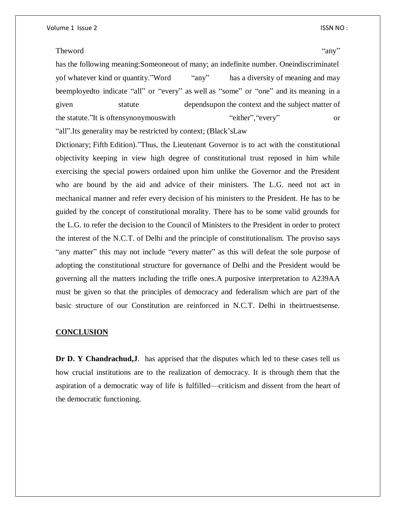#### Theword  $\omega$ "any"

has the following meaning:Someoneout of many; an indefinite number. Oneindiscriminatel yof whatever kind or quantity."Word "any" has a diversity of meaning and may beemployedto indicate "all" or "every" as well as "some" or "one" and its meaning in a given statute dependsupon the context and the subject matter of the statute."It is oftensynonymouswith "either","every" or "all".Its generality may be restricted by context; (Black'sLaw

Dictionary; Fifth Edition)."Thus, the Lieutenant Governor is to act with the constitutional objectivity keeping in view high degree of constitutional trust reposed in him while exercising the special powers ordained upon him unlike the Governor and the President who are bound by the aid and advice of their ministers. The L.G. need not act in mechanical manner and refer every decision of his ministers to the President. He has to be guided by the concept of constitutional morality. There has to be some valid grounds for the L.G. to refer the decision to the Council of Ministers to the President in order to protect the interest of the N.C.T. of Delhi and the principle of constitutionalism. The proviso says "any matter" this may not include "every matter" as this will defeat the sole purpose of adopting the constitutional structure for governance of Delhi and the President would be governing all the matters including the trifle ones.A purposive interpretation to A239AA must be given so that the principles of democracy and federalism which are part of the basic structure of our Constitution are reinforced in N.C.T. Delhi in theirtruestsense.

#### **CONCLUSION**

**Dr D. Y Chandrachud,J**. has apprised that the disputes which led to these cases tell us how crucial institutions are to the realization of democracy. It is through them that the aspiration of a democratic way of life is fulfilled—criticism and dissent from the heart of the democratic functioning.